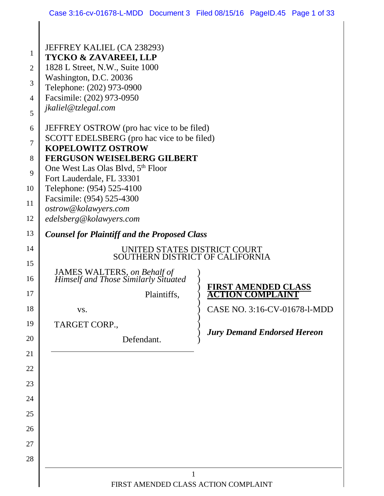|                | JEFFREY KALIEL (CA 238293)                                          |                                      |  |  |  |
|----------------|---------------------------------------------------------------------|--------------------------------------|--|--|--|
| $\mathbf{1}$   | <b>TYCKO &amp; ZAVAREEI, LLP</b>                                    |                                      |  |  |  |
| $\overline{2}$ | 1828 L Street, N.W., Suite 1000                                     |                                      |  |  |  |
| 3              | Washington, D.C. 20036<br>Telephone: (202) 973-0900                 |                                      |  |  |  |
| $\overline{4}$ | Facsimile: (202) 973-0950                                           |                                      |  |  |  |
| 5              | jkaliel@tzlegal.com                                                 |                                      |  |  |  |
| 6              | JEFFREY OSTROW (pro hac vice to be filed)                           |                                      |  |  |  |
| 7              | SCOTT EDELSBERG (pro hac vice to be filed)                          |                                      |  |  |  |
| 8              | <b>KOPELOWITZ OSTROW</b><br><b>FERGUSON WEISELBERG GILBERT</b>      |                                      |  |  |  |
| 9              | One West Las Olas Blvd, 5 <sup>th</sup> Floor                       |                                      |  |  |  |
|                | Fort Lauderdale, FL 33301                                           |                                      |  |  |  |
| 10             | Telephone: (954) 525-4100                                           |                                      |  |  |  |
| 11             | Facsimile: (954) 525-4300<br>ostrow@kolawyers.com                   |                                      |  |  |  |
| 12             | edelsberg@kolawyers.com                                             |                                      |  |  |  |
| 13             | <b>Counsel for Plaintiff and the Proposed Class</b>                 |                                      |  |  |  |
| 14             | UNITED STATES DISTRICT COURT<br>SOUTHERN DISTRICT OF CALIFORNIA     |                                      |  |  |  |
| 15             |                                                                     |                                      |  |  |  |
| 16             | JAMES WALTERS, on Behalf of<br>Himself and Those Similarly Situated |                                      |  |  |  |
| 17             | Plaintiffs,                                                         | <b>RST AMENDED CLASS</b><br>COMPLAIN |  |  |  |
| 18             | VS.                                                                 | CASE NO. 3:16-CV-01678-1-MDD         |  |  |  |
| 19             | TARGET CORP.,                                                       |                                      |  |  |  |
| 20             | Defendant.                                                          | <b>Jury Demand Endorsed Hereon</b>   |  |  |  |
| 21             |                                                                     |                                      |  |  |  |
| 22             |                                                                     |                                      |  |  |  |
| 23             |                                                                     |                                      |  |  |  |
| 24             |                                                                     |                                      |  |  |  |
| 25             |                                                                     |                                      |  |  |  |
| 26             |                                                                     |                                      |  |  |  |
| 27             |                                                                     |                                      |  |  |  |
| 28             |                                                                     |                                      |  |  |  |
|                |                                                                     |                                      |  |  |  |

 $\Big\|$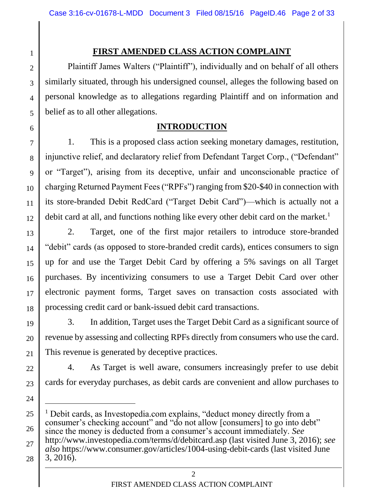1

2

3

4

5

6

24

 $\overline{a}$ 

# **FIRST AMENDED CLASS ACTION COMPLAINT**

Plaintiff James Walters ("Plaintiff"), individually and on behalf of all others similarly situated, through his undersigned counsel, alleges the following based on personal knowledge as to allegations regarding Plaintiff and on information and belief as to all other allegations.

# **INTRODUCTION**

7 8 9 10 11 12 1. This is a proposed class action seeking monetary damages, restitution, injunctive relief, and declaratory relief from Defendant Target Corp., ("Defendant" or "Target"), arising from its deceptive, unfair and unconscionable practice of charging Returned Payment Fees ("RPFs") ranging from \$20-\$40 in connection with its store-branded Debit RedCard ("Target Debit Card")—which is actually not a debit card at all, and functions nothing like every other debit card on the market.<sup>1</sup>

13 14 15 16 17 18 2. Target, one of the first major retailers to introduce store-branded "debit" cards (as opposed to store-branded credit cards), entices consumers to sign up for and use the Target Debit Card by offering a 5% savings on all Target purchases. By incentivizing consumers to use a Target Debit Card over other electronic payment forms, Target saves on transaction costs associated with processing credit card or bank-issued debit card transactions.

19 20 21 3. In addition, Target uses the Target Debit Card as a significant source of revenue by assessing and collecting RPFs directly from consumers who use the card. This revenue is generated by deceptive practices.

22 23 4. As Target is well aware, consumers increasingly prefer to use debit cards for everyday purchases, as debit cards are convenient and allow purchases to

<sup>25</sup> 26 27 28 <sup>1</sup> Debit cards, as Investopedia.com explains, "deduct money directly from a consumer's checking account" and "do not allow [consumers] to go into debt" since the money is deducted from a consumer's account immediately. *See* http://www.investopedia.com/terms/d/debitcard.asp (last visited June 3, 2016); *see also* https://www.consumer.gov/articles/1004-using-debit-cards (last visited June 3, 2016).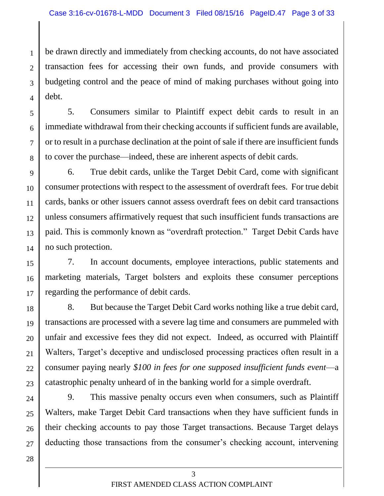1  $\mathfrak{D}$ 3 4 be drawn directly and immediately from checking accounts, do not have associated transaction fees for accessing their own funds, and provide consumers with budgeting control and the peace of mind of making purchases without going into debt.

5. Consumers similar to Plaintiff expect debit cards to result in an immediate withdrawal from their checking accounts if sufficient funds are available, or to result in a purchase declination at the point of sale if there are insufficient funds to cover the purchase—indeed, these are inherent aspects of debit cards.

9 10 11 12 13 14 6. True debit cards, unlike the Target Debit Card, come with significant consumer protections with respect to the assessment of overdraft fees. For true debit cards, banks or other issuers cannot assess overdraft fees on debit card transactions unless consumers affirmatively request that such insufficient funds transactions are paid. This is commonly known as "overdraft protection." Target Debit Cards have no such protection.

15 16 17 7. In account documents, employee interactions, public statements and marketing materials, Target bolsters and exploits these consumer perceptions regarding the performance of debit cards.

18 19 20 21 22 23 8. But because the Target Debit Card works nothing like a true debit card, transactions are processed with a severe lag time and consumers are pummeled with unfair and excessive fees they did not expect. Indeed, as occurred with Plaintiff Walters, Target's deceptive and undisclosed processing practices often result in a consumer paying nearly *\$100 in fees for one supposed insufficient funds event*—a catastrophic penalty unheard of in the banking world for a simple overdraft.

24 25 26 27 9. This massive penalty occurs even when consumers, such as Plaintiff Walters, make Target Debit Card transactions when they have sufficient funds in their checking accounts to pay those Target transactions. Because Target delays deducting those transactions from the consumer's checking account, intervening

28

5

6

7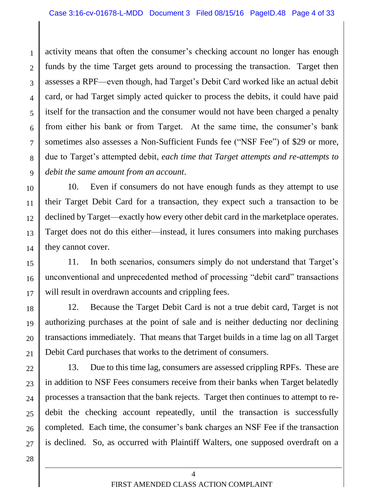1  $\mathfrak{D}$ 3 4 5 6 7 8 9 activity means that often the consumer's checking account no longer has enough funds by the time Target gets around to processing the transaction. Target then assesses a RPF—even though, had Target's Debit Card worked like an actual debit card, or had Target simply acted quicker to process the debits, it could have paid itself for the transaction and the consumer would not have been charged a penalty from either his bank or from Target. At the same time, the consumer's bank sometimes also assesses a Non-Sufficient Funds fee ("NSF Fee") of \$29 or more, due to Target's attempted debit, *each time that Target attempts and re-attempts to debit the same amount from an account*.

10 11 12 13 14 10. Even if consumers do not have enough funds as they attempt to use their Target Debit Card for a transaction, they expect such a transaction to be declined by Target—exactly how every other debit card in the marketplace operates. Target does not do this either—instead, it lures consumers into making purchases they cannot cover.

15 16 17 11. In both scenarios, consumers simply do not understand that Target's unconventional and unprecedented method of processing "debit card" transactions will result in overdrawn accounts and crippling fees.

18 19 20 21 12. Because the Target Debit Card is not a true debit card, Target is not authorizing purchases at the point of sale and is neither deducting nor declining transactions immediately. That means that Target builds in a time lag on all Target Debit Card purchases that works to the detriment of consumers.

22 23 24 25 26 27 13. Due to this time lag, consumers are assessed crippling RPFs. These are in addition to NSF Fees consumers receive from their banks when Target belatedly processes a transaction that the bank rejects. Target then continues to attempt to redebit the checking account repeatedly, until the transaction is successfully completed. Each time, the consumer's bank charges an NSF Fee if the transaction is declined. So, as occurred with Plaintiff Walters, one supposed overdraft on a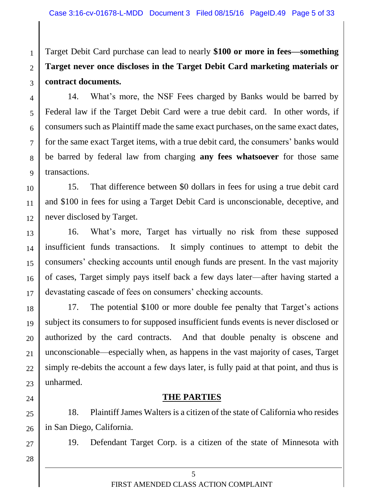Target Debit Card purchase can lead to nearly **\$100 or more in fees—something Target never once discloses in the Target Debit Card marketing materials or contract documents.**

4 5 6 7 8 9 14. What's more, the NSF Fees charged by Banks would be barred by Federal law if the Target Debit Card were a true debit card. In other words, if consumers such as Plaintiff made the same exact purchases, on the same exact dates, for the same exact Target items, with a true debit card, the consumers' banks would be barred by federal law from charging **any fees whatsoever** for those same transactions.

10 11 12 15. That difference between \$0 dollars in fees for using a true debit card and \$100 in fees for using a Target Debit Card is unconscionable, deceptive, and never disclosed by Target.

13 14 15 16 17 16. What's more, Target has virtually no risk from these supposed insufficient funds transactions. It simply continues to attempt to debit the consumers' checking accounts until enough funds are present. In the vast majority of cases, Target simply pays itself back a few days later—after having started a devastating cascade of fees on consumers' checking accounts.

18 19 20 21 22 23 17. The potential \$100 or more double fee penalty that Target's actions subject its consumers to for supposed insufficient funds events is never disclosed or authorized by the card contracts. And that double penalty is obscene and unconscionable—especially when, as happens in the vast majority of cases, Target simply re-debits the account a few days later, is fully paid at that point, and thus is unharmed.

## **THE PARTIES**

25 26 18. Plaintiff James Walters is a citizen of the state of California who resides in San Diego, California.

19. Defendant Target Corp. is a citizen of the state of Minnesota with

28

27

24

1

 $\mathcal{L}$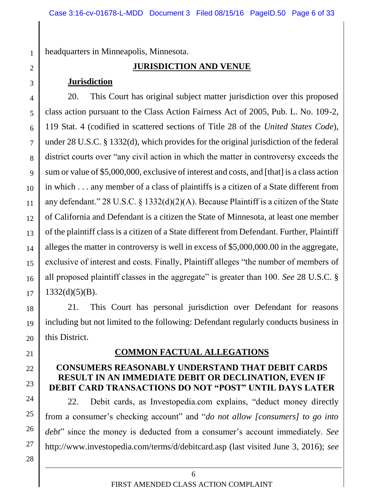headquarters in Minneapolis, Minnesota.

## **JURISDICTION AND VENUE**

### **Jurisdiction**

4 5 6 7 8 9 10 12 13 14 15 16 20. This Court has original subject matter jurisdiction over this proposed class action pursuant to the Class Action Fairness Act of 2005, Pub. L. No. 109-2, 119 Stat. 4 (codified in scattered sections of Title 28 of the *United States Code*), under 28 U.S.C. § 1332(d), which provides for the original jurisdiction of the federal district courts over "any civil action in which the matter in controversy exceeds the sum or value of \$5,000,000, exclusive of interest and costs, and [that] is a class action in which . . . any member of a class of plaintiffs is a citizen of a State different from any defendant." 28 U.S.C. § 1332(d)(2)(A). Because Plaintiff is a citizen of the State of California and Defendant is a citizen the State of Minnesota, at least one member of the plaintiff class is a citizen of a State different from Defendant. Further, Plaintiff alleges the matter in controversy is well in excess of \$5,000,000.00 in the aggregate, exclusive of interest and costs. Finally, Plaintiff alleges "the number of members of all proposed plaintiff classes in the aggregate" is greater than 100. *See* 28 U.S.C. §  $1332(d)(5)(B)$ .

21. This Court has personal jurisdiction over Defendant for reasons including but not limited to the following: Defendant regularly conducts business in this District.

21

28

## **COMMON FACTUAL ALLEGATIONS**

#### **CONSUMERS REASONABLY UNDERSTAND THAT DEBIT CARDS RESULT IN AN IMMEDIATE DEBIT OR DECLINATION, EVEN IF DEBIT CARD TRANSACTIONS DO NOT "POST" UNTIL DAYS LATER**

24 25 26 27 22. Debit cards, as Investopedia.com explains, "deduct money directly from a consumer's checking account" and "*do not allow [consumers] to go into debt*" since the money is deducted from a consumer's account immediately. *See* http://www.investopedia.com/terms/d/debitcard.asp (last visited June 3, 2016); *see* 

1

2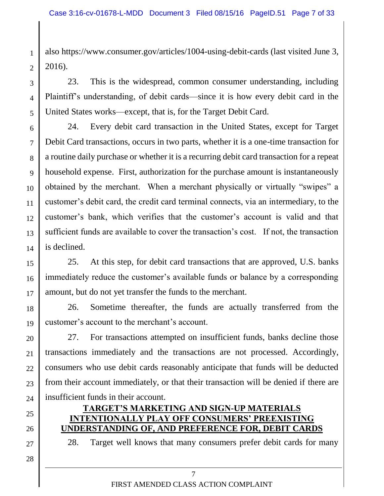also https://www.consumer.gov/articles/1004-using-debit-cards (last visited June 3, 2016).

23. This is the widespread, common consumer understanding, including Plaintiff's understanding, of debit cards—since it is how every debit card in the United States works—except, that is, for the Target Debit Card.

6 7 8 9 10 11 12 13 14 24. Every debit card transaction in the United States, except for Target Debit Card transactions, occurs in two parts, whether it is a one-time transaction for a routine daily purchase or whether it is a recurring debit card transaction for a repeat household expense. First, authorization for the purchase amount is instantaneously obtained by the merchant. When a merchant physically or virtually "swipes" a customer's debit card, the credit card terminal connects, via an intermediary, to the customer's bank, which verifies that the customer's account is valid and that sufficient funds are available to cover the transaction's cost. If not, the transaction is declined.

15 16 17 25. At this step, for debit card transactions that are approved, U.S. banks immediately reduce the customer's available funds or balance by a corresponding amount, but do not yet transfer the funds to the merchant.

18 19 26. Sometime thereafter, the funds are actually transferred from the customer's account to the merchant's account.

20 21 22 23 24 27. For transactions attempted on insufficient funds, banks decline those transactions immediately and the transactions are not processed. Accordingly, consumers who use debit cards reasonably anticipate that funds will be deducted from their account immediately, or that their transaction will be denied if there are insufficient funds in their account.

## **TARGET'S MARKETING AND SIGN-UP MATERIALS INTENTIONALLY PLAY OFF CONSUMERS' PREEXISTING UNDERSTANDING OF, AND PREFERENCE FOR, DEBIT CARDS**

28. Target well knows that many consumers prefer debit cards for many

28

27

25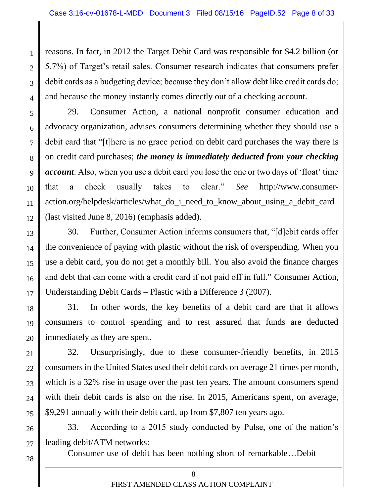reasons. In fact, in 2012 the Target Debit Card was responsible for \$4.2 billion (or 5.7%) of Target's retail sales. Consumer research indicates that consumers prefer debit cards as a budgeting device; because they don't allow debt like credit cards do; and because the money instantly comes directly out of a checking account.

5 6 7 8 9 10 11 12 29. Consumer Action, a national nonprofit consumer education and advocacy organization, advises consumers determining whether they should use a debit card that "[t]here is no grace period on debit card purchases the way there is on credit card purchases; *the money is immediately deducted from your checking account*. Also, when you use a debit card you lose the one or two days of 'float' time that a check usually takes to clear." *See* http://www.consumeraction.org/helpdesk/articles/what\_do\_i\_need\_to\_know\_about\_using\_a\_debit\_card (last visited June 8, 2016) (emphasis added).

13 14 15 16 17 30. Further, Consumer Action informs consumers that, "[d]ebit cards offer the convenience of paying with plastic without the risk of overspending. When you use a debit card, you do not get a monthly bill. You also avoid the finance charges and debt that can come with a credit card if not paid off in full." Consumer Action, Understanding Debit Cards – Plastic with a Difference 3 (2007).

18 19 20 31. In other words, the key benefits of a debit card are that it allows consumers to control spending and to rest assured that funds are deducted immediately as they are spent.

21 22 23 24 25 32. Unsurprisingly, due to these consumer-friendly benefits, in 2015 consumers in the United States used their debit cards on average 21 times per month, which is a 32% rise in usage over the past ten years. The amount consumers spend with their debit cards is also on the rise. In 2015, Americans spent, on average, \$9,291 annually with their debit card, up from \$7,807 ten years ago.

26 27 33. According to a 2015 study conducted by Pulse, one of the nation's leading debit/ATM networks:

28

1

 $\mathfrak{D}$ 

3

4

Consumer use of debit has been nothing short of remarkable…Debit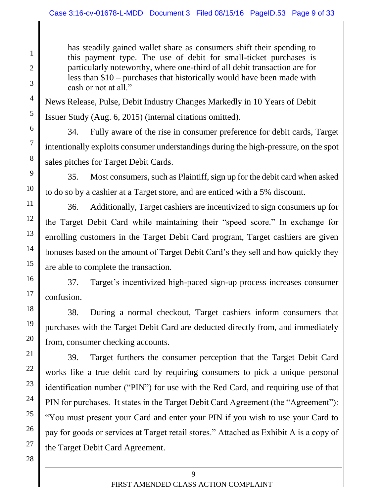has steadily gained wallet share as consumers shift their spending to this payment type. The use of debit for small-ticket purchases is particularly noteworthy, where one-third of all debit transaction are for less than \$10 – purchases that historically would have been made with cash or not at all."

News Release, Pulse, Debit Industry Changes Markedly in 10 Years of Debit Issuer Study (Aug. 6, 2015) (internal citations omitted).

34. Fully aware of the rise in consumer preference for debit cards, Target intentionally exploits consumer understandings during the high-pressure, on the spot sales pitches for Target Debit Cards.

35. Most consumers, such as Plaintiff, sign up for the debit card when asked to do so by a cashier at a Target store, and are enticed with a 5% discount.

36. Additionally, Target cashiers are incentivized to sign consumers up for the Target Debit Card while maintaining their "speed score." In exchange for enrolling customers in the Target Debit Card program, Target cashiers are given bonuses based on the amount of Target Debit Card's they sell and how quickly they are able to complete the transaction.

37. Target's incentivized high-paced sign-up process increases consumer confusion.

38. During a normal checkout, Target cashiers inform consumers that purchases with the Target Debit Card are deducted directly from, and immediately from, consumer checking accounts.

39. Target furthers the consumer perception that the Target Debit Card works like a true debit card by requiring consumers to pick a unique personal identification number ("PIN") for use with the Red Card, and requiring use of that PIN for purchases. It states in the Target Debit Card Agreement (the "Agreement"): "You must present your Card and enter your PIN if you wish to use your Card to pay for goods or services at Target retail stores." Attached as Exhibit A is a copy of the Target Debit Card Agreement.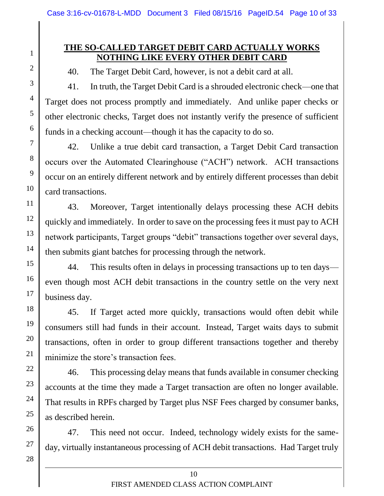## **THE SO-CALLED TARGET DEBIT CARD ACTUALLY WORKS NOTHING LIKE EVERY OTHER DEBIT CARD**

40. The Target Debit Card, however, is not a debit card at all.

41. In truth, the Target Debit Card is a shrouded electronic check—one that Target does not process promptly and immediately. And unlike paper checks or other electronic checks, Target does not instantly verify the presence of sufficient funds in a checking account—though it has the capacity to do so.

42. Unlike a true debit card transaction, a Target Debit Card transaction occurs over the Automated Clearinghouse ("ACH") network. ACH transactions occur on an entirely different network and by entirely different processes than debit card transactions.

43. Moreover, Target intentionally delays processing these ACH debits quickly and immediately. In order to save on the processing fees it must pay to ACH network participants, Target groups "debit" transactions together over several days, then submits giant batches for processing through the network.

44. This results often in delays in processing transactions up to ten days even though most ACH debit transactions in the country settle on the very next business day.

45. If Target acted more quickly, transactions would often debit while consumers still had funds in their account. Instead, Target waits days to submit transactions, often in order to group different transactions together and thereby minimize the store's transaction fees.

46. This processing delay means that funds available in consumer checking accounts at the time they made a Target transaction are often no longer available. That results in RPFs charged by Target plus NSF Fees charged by consumer banks, as described herein.

47. This need not occur. Indeed, technology widely exists for the sameday, virtually instantaneous processing of ACH debit transactions. Had Target truly

1

2

3

4

5

6

7

8

9

10

11

12

13

14

15

16

17

18

19

20

21

22

23

24

25

26

27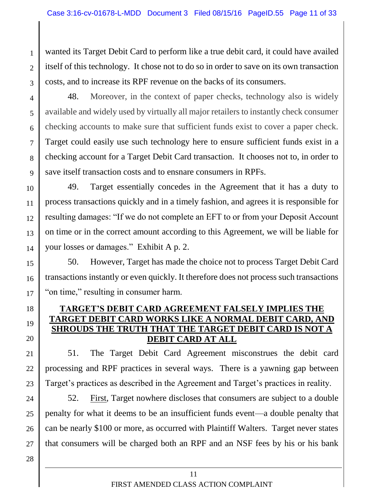wanted its Target Debit Card to perform like a true debit card, it could have availed itself of this technology. It chose not to do so in order to save on its own transaction costs, and to increase its RPF revenue on the backs of its consumers.

4 5 6 7 8 9 48. Moreover, in the context of paper checks, technology also is widely available and widely used by virtually all major retailers to instantly check consumer checking accounts to make sure that sufficient funds exist to cover a paper check. Target could easily use such technology here to ensure sufficient funds exist in a checking account for a Target Debit Card transaction. It chooses not to, in order to save itself transaction costs and to ensnare consumers in RPFs.

10 11 12 13 14 49. Target essentially concedes in the Agreement that it has a duty to process transactions quickly and in a timely fashion, and agrees it is responsible for resulting damages: "If we do not complete an EFT to or from your Deposit Account on time or in the correct amount according to this Agreement, we will be liable for your losses or damages." Exhibit A p. 2.

15 16 17 50. However, Target has made the choice not to process Target Debit Card transactions instantly or even quickly. It therefore does not process such transactions "on time," resulting in consumer harm.

## **TARGET'S DEBIT CARD AGREEMENT FALSELY IMPLIES THE CARD WORKS LIKE A NORMAL DEBIT SHROUDS THE TRUTH THAT THE TARGET DEBIT CARD IS NOT A DEBIT CARD AT ALL**

21 22 23 51. The Target Debit Card Agreement misconstrues the debit card processing and RPF practices in several ways. There is a yawning gap between Target's practices as described in the Agreement and Target's practices in reality.

24 25 26 27 52. First, Target nowhere discloses that consumers are subject to a double penalty for what it deems to be an insufficient funds event—a double penalty that can be nearly \$100 or more, as occurred with Plaintiff Walters. Target never states that consumers will be charged both an RPF and an NSF fees by his or his bank

18

19

20

1

 $\mathfrak{D}$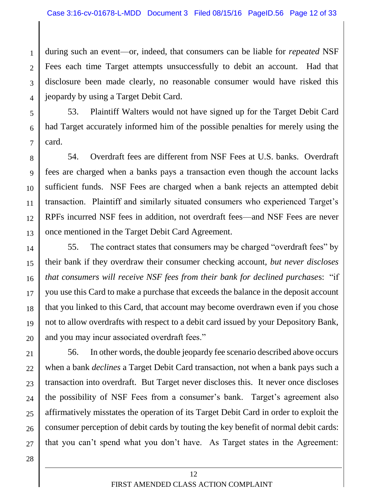1  $\mathcal{D}_{\mathcal{L}}$ 3 4 during such an event—or, indeed, that consumers can be liable for *repeated* NSF Fees each time Target attempts unsuccessfully to debit an account. Had that disclosure been made clearly, no reasonable consumer would have risked this jeopardy by using a Target Debit Card.

5 6 7 53. Plaintiff Walters would not have signed up for the Target Debit Card had Target accurately informed him of the possible penalties for merely using the card.

8 9 10 11 12 13 54. Overdraft fees are different from NSF Fees at U.S. banks. Overdraft fees are charged when a banks pays a transaction even though the account lacks sufficient funds. NSF Fees are charged when a bank rejects an attempted debit transaction. Plaintiff and similarly situated consumers who experienced Target's RPFs incurred NSF fees in addition, not overdraft fees—and NSF Fees are never once mentioned in the Target Debit Card Agreement.

14 15 16 17 18 19 20 55. The contract states that consumers may be charged "overdraft fees" by their bank if they overdraw their consumer checking account, *but never discloses that consumers will receive NSF fees from their bank for declined purchase*s: "if you use this Card to make a purchase that exceeds the balance in the deposit account that you linked to this Card, that account may become overdrawn even if you chose not to allow overdrafts with respect to a debit card issued by your Depository Bank, and you may incur associated overdraft fees."

21 22 23 24 25 26 27 56. In other words, the double jeopardy fee scenario described above occurs when a bank *declines* a Target Debit Card transaction, not when a bank pays such a transaction into overdraft. But Target never discloses this. It never once discloses the possibility of NSF Fees from a consumer's bank. Target's agreement also affirmatively misstates the operation of its Target Debit Card in order to exploit the consumer perception of debit cards by touting the key benefit of normal debit cards: that you can't spend what you don't have. As Target states in the Agreement:

> 12 FIRST AMENDED CLASS ACTION COMPLAINT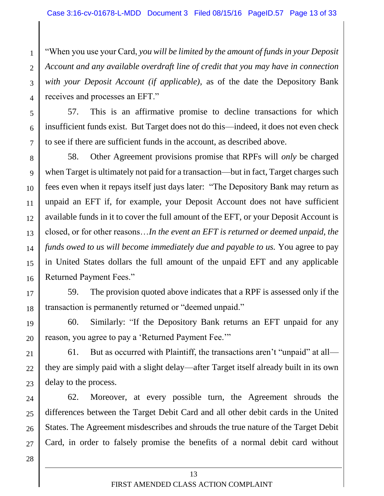"When you use your Card, *you will be limited by the amount of funds in your Deposit Account and any available overdraft line of credit that you may have in connection with your Deposit Account (if applicable),* as of the date the Depository Bank receives and processes an EFT."

57. This is an affirmative promise to decline transactions for which insufficient funds exist. But Target does not do this—indeed, it does not even check to see if there are sufficient funds in the account, as described above.

8 9 10 11 12 13 14 15 16 58. Other Agreement provisions promise that RPFs will *only* be charged when Target is ultimately not paid for a transaction—but in fact, Target charges such fees even when it repays itself just days later: "The Depository Bank may return as unpaid an EFT if, for example, your Deposit Account does not have sufficient available funds in it to cover the full amount of the EFT, or your Deposit Account is closed, or for other reasons…*In the event an EFT is returned or deemed unpaid, the funds owed to us will become immediately due and payable to us.* You agree to pay in United States dollars the full amount of the unpaid EFT and any applicable Returned Payment Fees."

17 18 59. The provision quoted above indicates that a RPF is assessed only if the transaction is permanently returned or "deemed unpaid."

19 20 60. Similarly: "If the Depository Bank returns an EFT unpaid for any reason, you agree to pay a 'Returned Payment Fee.'"

21 22 23 61. But as occurred with Plaintiff, the transactions aren't "unpaid" at all they are simply paid with a slight delay—after Target itself already built in its own delay to the process.

24 25 26 27 62. Moreover, at every possible turn, the Agreement shrouds the differences between the Target Debit Card and all other debit cards in the United States. The Agreement misdescribes and shrouds the true nature of the Target Debit Card, in order to falsely promise the benefits of a normal debit card without

28

1

2

3

4

5

6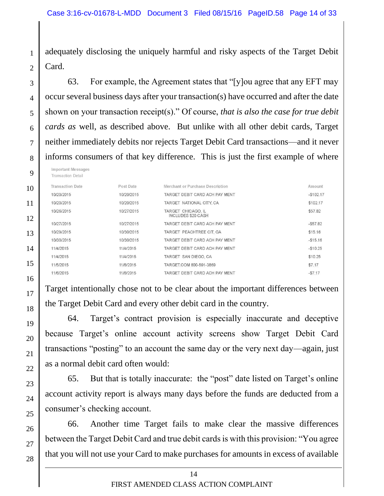adequately disclosing the uniquely harmful and risky aspects of the Target Debit Card.

63. For example, the Agreement states that "[y]ou agree that any EFT may occur several business days after your transaction(s) have occurred and after the date shown on your transaction receipt(s)." Of course, *that is also the case for true debit cards as* well, as described above. But unlike with all other debit cards, Target neither immediately debits nor rejects Target Debit Card transactions—and it never informs consumers of that key difference. This is just the first example of where

| 9  | <b>Important Messages</b><br><b>Transaction Detail</b> |            |                                                 |            |
|----|--------------------------------------------------------|------------|-------------------------------------------------|------------|
| 10 | <b>Transaction Date</b>                                | Post Date  | Merchant or Purchase Description                | Amount     |
|    | 10/20/2015                                             | 10/20/2015 | TARGET DEBIT CARD ACH PAY MENT                  | $-$102.17$ |
| 11 | 10/20/2015                                             | 10/20/2015 | TARGET NATIONAL CITY, CA                        | \$102.17   |
| 12 | 10/26/2015                                             | 10/27/2015 | TARGET CHICAGO, IL<br><b>INCLUDES \$20 CASH</b> | \$57.82    |
|    | 10/27/2015                                             | 10/27/2015 | TARGET DEBIT CARD ACH PAY MENT                  | $-$57.82$  |
| 13 | 10/29/2015                                             | 10/30/2015 | TARGET PEACHTREE CIT, GA                        | \$15.16    |
|    | 10/30/2015                                             | 10/30/2015 | TARGET DEBIT CARD ACH PAY MENT                  | $-$15.16$  |
| 14 | 11/4/2015                                              | 11/4/2015  | TARGET DEBIT CARD ACH PAY MENT                  | $-$10.25$  |
|    | 11/4/2015                                              | 11/4/2015  | TARGET SAN DIEGO, CA                            | \$10.25    |
| 15 | 11/5/2015                                              | 11/6/2015  | TARGET.COM 800-591-3869                         | \$7.17     |
| 16 | 11/6/2015                                              | 11/6/2015  | TARGET DEBIT CARD ACH PAY MENT                  | $-57.17$   |

Target intentionally chose not to be clear about the important differences between the Target Debit Card and every other debit card in the country.

64. Target's contract provision is especially inaccurate and deceptive because Target's online account activity screens show Target Debit Card transactions "posting" to an account the same day or the very next day—again, just as a normal debit card often would:

65. But that is totally inaccurate: the "post" date listed on Target's online account activity report is always many days before the funds are deducted from a consumer's checking account.

66. Another time Target fails to make clear the massive differences between the Target Debit Card and true debit cards is with this provision: "You agree that you will not use your Card to make purchases for amounts in excess of available

1

 $\overline{2}$ 

3

4

5

6

7

8

17

18

19

20

21

22

23

24

25

26

27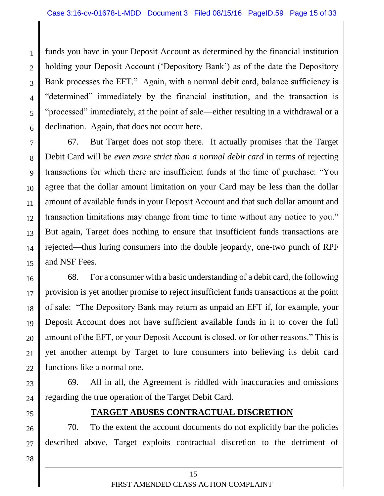1  $\mathfrak{D}$ 3 4 5 6 funds you have in your Deposit Account as determined by the financial institution holding your Deposit Account ('Depository Bank') as of the date the Depository Bank processes the EFT." Again, with a normal debit card, balance sufficiency is "determined" immediately by the financial institution, and the transaction is "processed" immediately, at the point of sale—either resulting in a withdrawal or a declination. Again, that does not occur here.

7 8 9 10 11 12 13 14 15 67. But Target does not stop there. It actually promises that the Target Debit Card will be *even more strict than a normal debit card* in terms of rejecting transactions for which there are insufficient funds at the time of purchase: "You agree that the dollar amount limitation on your Card may be less than the dollar amount of available funds in your Deposit Account and that such dollar amount and transaction limitations may change from time to time without any notice to you." But again, Target does nothing to ensure that insufficient funds transactions are rejected—thus luring consumers into the double jeopardy, one-two punch of RPF and NSF Fees.

16 17 18 19 20 21 22 68. For a consumer with a basic understanding of a debit card, the following provision is yet another promise to reject insufficient funds transactions at the point of sale: "The Depository Bank may return as unpaid an EFT if, for example, your Deposit Account does not have sufficient available funds in it to cover the full amount of the EFT, or your Deposit Account is closed, or for other reasons." This is yet another attempt by Target to lure consumers into believing its debit card functions like a normal one.

23 24 69. All in all, the Agreement is riddled with inaccuracies and omissions regarding the true operation of the Target Debit Card.

25

26

27

28

### **TARGET ABUSES CONTRACTUAL DISCRETION**

70. To the extent the account documents do not explicitly bar the policies described above, Target exploits contractual discretion to the detriment of

> 15 FIRST AMENDED CLASS ACTION COMPLAINT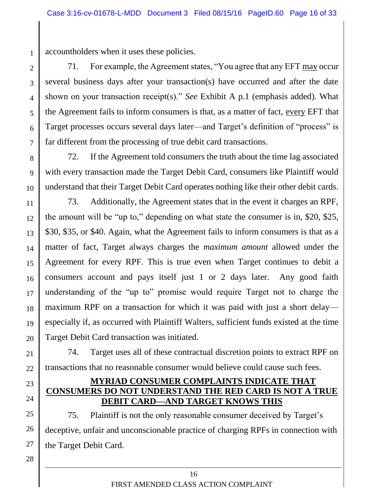accountholders when it uses these policies.

1

2

3

4

5

6

7

23

24

28

71. For example, the Agreement states, "You agree that any EFT may occur several business days after your transaction(s) have occurred and after the date shown on your transaction receipt(s)." *See* Exhibit A p.1 (emphasis added). What the Agreement fails to inform consumers is that, as a matter of fact, every EFT that Target processes occurs several days later—and Target's definition of "process" is far different from the processing of true debit card transactions.

8 9 10 72. If the Agreement told consumers the truth about the time lag associated with every transaction made the Target Debit Card, consumers like Plaintiff would understand that their Target Debit Card operates nothing like their other debit cards.

11 12 13 14 15 16 17 18 19 20 73. Additionally, the Agreement states that in the event it charges an RPF, the amount will be "up to," depending on what state the consumer is in, \$20, \$25, \$30, \$35, or \$40. Again, what the Agreement fails to inform consumers is that as a matter of fact, Target always charges the *maximum amount* allowed under the Agreement for every RPF. This is true even when Target continues to debit a consumers account and pays itself just 1 or 2 days later. Any good faith understanding of the "up to" promise would require Target not to charge the maximum RPF on a transaction for which it was paid with just a short delay especially if, as occurred with Plaintiff Walters, sufficient funds existed at the time Target Debit Card transaction was initiated.

21 22 74. Target uses all of these contractual discretion points to extract RPF on transactions that no reasonable consumer would believe could cause such fees.

### **MYRIAD CONSUMER COMPLAINTS INDICATE THAT CONSUMERS DO NOT UNDERSTAND THE RED CARD IS NOT A TRUE DEBIT CARD—AND TARGET KNOWS THIS**

25 26 27 75. Plaintiff is not the only reasonable consumer deceived by Target's deceptive, unfair and unconscionable practice of charging RPFs in connection with the Target Debit Card.

> 16 FIRST AMENDED CLASS ACTION COMPLAINT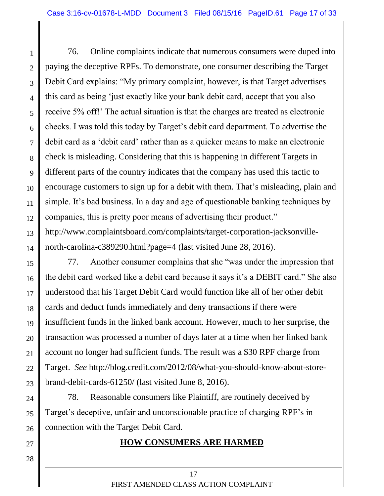1 2 3 4 5 6 7 8 9 10 11 12 13 76. Online complaints indicate that numerous consumers were duped into paying the deceptive RPFs. To demonstrate, one consumer describing the Target Debit Card explains: "My primary complaint, however, is that Target advertises this card as being 'just exactly like your bank debit card, accept that you also receive 5% off!' The actual situation is that the charges are treated as electronic checks. I was told this today by Target's debit card department. To advertise the debit card as a 'debit card' rather than as a quicker means to make an electronic check is misleading. Considering that this is happening in different Targets in different parts of the country indicates that the company has used this tactic to encourage customers to sign up for a debit with them. That's misleading, plain and simple. It's bad business. In a day and age of questionable banking techniques by companies, this is pretty poor means of advertising their product." http://www.complaintsboard.com/complaints/target-corporation-jacksonville-

14 north-carolina-c389290.html?page=4 (last visited June 28, 2016).

15 16 17 18 19 20 21 22 23 77. Another consumer complains that she "was under the impression that the debit card worked like a debit card because it says it's a DEBIT card." She also understood that his Target Debit Card would function like all of her other debit cards and deduct funds immediately and deny transactions if there were insufficient funds in the linked bank account. However, much to her surprise, the transaction was processed a number of days later at a time when her linked bank account no longer had sufficient funds. The result was a \$30 RPF charge from Target. *See* http://blog.credit.com/2012/08/what-you-should-know-about-storebrand-debit-cards-61250/ (last visited June 8, 2016).

24 25 26 78. Reasonable consumers like Plaintiff, are routinely deceived by Target's deceptive, unfair and unconscionable practice of charging RPF's in connection with the Target Debit Card.

27

28

## **HOW CONSUMERS ARE HARMED**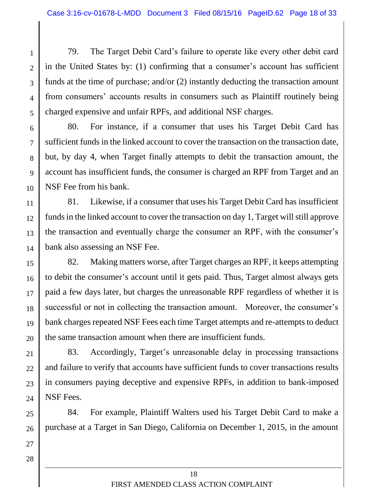79. The Target Debit Card's failure to operate like every other debit card in the United States by: (1) confirming that a consumer's account has sufficient funds at the time of purchase; and/or (2) instantly deducting the transaction amount from consumers' accounts results in consumers such as Plaintiff routinely being charged expensive and unfair RPFs, and additional NSF charges.

1

 $\mathfrak{D}$ 

3

4

5

27

28

6 7 8 9 10 80. For instance, if a consumer that uses his Target Debit Card has sufficient funds in the linked account to cover the transaction on the transaction date, but, by day 4, when Target finally attempts to debit the transaction amount, the account has insufficient funds, the consumer is charged an RPF from Target and an NSF Fee from his bank.

11 12 13 14 81. Likewise, if a consumer that uses his Target Debit Card has insufficient funds in the linked account to cover the transaction on day 1, Target will still approve the transaction and eventually charge the consumer an RPF, with the consumer's bank also assessing an NSF Fee.

15 16 17 18 19 20 82. Making matters worse, after Target charges an RPF, it keeps attempting to debit the consumer's account until it gets paid. Thus, Target almost always gets paid a few days later, but charges the unreasonable RPF regardless of whether it is successful or not in collecting the transaction amount. Moreover, the consumer's bank charges repeated NSF Fees each time Target attempts and re-attempts to deduct the same transaction amount when there are insufficient funds.

21 22 23 24 83. Accordingly, Target's unreasonable delay in processing transactions and failure to verify that accounts have sufficient funds to cover transactions results in consumers paying deceptive and expensive RPFs, in addition to bank-imposed NSF Fees.

25 26 84. For example, Plaintiff Walters used his Target Debit Card to make a purchase at a Target in San Diego, California on December 1, 2015, in the amount

> 18 FIRST AMENDED CLASS ACTION COMPLAINT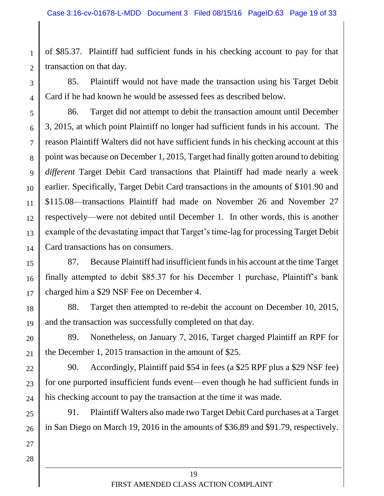of \$85.37. Plaintiff had sufficient funds in his checking account to pay for that transaction on that day.

3 4 85. Plaintiff would not have made the transaction using his Target Debit Card if he had known he would be assessed fees as described below.

5 6 7 8 9 10 11 12 13 14 86. Target did not attempt to debit the transaction amount until December 3, 2015, at which point Plaintiff no longer had sufficient funds in his account. The reason Plaintiff Walters did not have sufficient funds in his checking account at this point was because on December 1, 2015, Target had finally gotten around to debiting *different* Target Debit Card transactions that Plaintiff had made nearly a week earlier. Specifically, Target Debit Card transactions in the amounts of \$101.90 and \$115.08—transactions Plaintiff had made on November 26 and November 27 respectively—were not debited until December 1. In other words, this is another example of the devastating impact that Target's time-lag for processing Target Debit Card transactions has on consumers.

15 16 17 87. Because Plaintiff had insufficient funds in his account at the time Target finally attempted to debit \$85.37 for his December 1 purchase, Plaintiff's bank charged him a \$29 NSF Fee on December 4.

18 19 88. Target then attempted to re-debit the account on December 10, 2015, and the transaction was successfully completed on that day.

20 21 89. Nonetheless, on January 7, 2016, Target charged Plaintiff an RPF for the December 1, 2015 transaction in the amount of \$25.

22 23 24 90. Accordingly, Plaintiff paid \$54 in fees (a \$25 RPF plus a \$29 NSF fee) for one purported insufficient funds event—even though he had sufficient funds in his checking account to pay the transaction at the time it was made.

25 26 91. Plaintiff Walters also made two Target Debit Card purchases at a Target in San Diego on March 19, 2016 in the amounts of \$36.89 and \$91.79, respectively.

27

1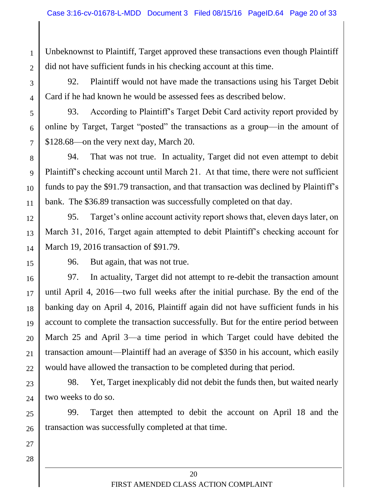Unbeknownst to Plaintiff, Target approved these transactions even though Plaintiff did not have sufficient funds in his checking account at this time.

3

1

2

92. Plaintiff would not have made the transactions using his Target Debit Card if he had known he would be assessed fees as described below.

5

6

7

4

93. According to Plaintiff's Target Debit Card activity report provided by online by Target, Target "posted" the transactions as a group—in the amount of \$128.68—on the very next day, March 20.

8 9 10 11 94. That was not true. In actuality, Target did not even attempt to debit Plaintiff's checking account until March 21. At that time, there were not sufficient funds to pay the \$91.79 transaction, and that transaction was declined by Plaintiff's bank. The \$36.89 transaction was successfully completed on that day.

12 13 14 95. Target's online account activity report shows that, eleven days later, on March 31, 2016, Target again attempted to debit Plaintiff's checking account for March 19, 2016 transaction of \$91.79.

15

96. But again, that was not true.

16 17 18 19 20 21 22 97. In actuality, Target did not attempt to re-debit the transaction amount until April 4, 2016—two full weeks after the initial purchase. By the end of the banking day on April 4, 2016, Plaintiff again did not have sufficient funds in his account to complete the transaction successfully. But for the entire period between March 25 and April 3—a time period in which Target could have debited the transaction amount—Plaintiff had an average of \$350 in his account, which easily would have allowed the transaction to be completed during that period.

23 24 98. Yet, Target inexplicably did not debit the funds then, but waited nearly two weeks to do so.

25 26 99. Target then attempted to debit the account on April 18 and the transaction was successfully completed at that time.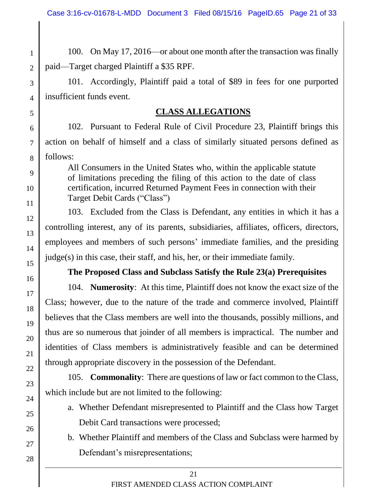100. On May 17, 2016—or about one month after the transaction was finally paid—Target charged Plaintiff a \$35 RPF.

101. Accordingly, Plaintiff paid a total of \$89 in fees for one purported insufficient funds event.

#### **CLASS ALLEGATIONS**

102. Pursuant to Federal Rule of Civil Procedure 23, Plaintiff brings this action on behalf of himself and a class of similarly situated persons defined as follows:

All Consumers in the United States who, within the applicable statute of limitations preceding the filing of this action to the date of class certification, incurred Returned Payment Fees in connection with their Target Debit Cards ("Class")

103. Excluded from the Class is Defendant, any entities in which it has a controlling interest, any of its parents, subsidiaries, affiliates, officers, directors, employees and members of such persons' immediate families, and the presiding judge(s) in this case, their staff, and his, her, or their immediate family.

### **The Proposed Class and Subclass Satisfy the Rule 23(a) Prerequisites**

104. **Numerosity**: At this time, Plaintiff does not know the exact size of the Class; however, due to the nature of the trade and commerce involved, Plaintiff believes that the Class members are well into the thousands, possibly millions, and thus are so numerous that joinder of all members is impractical. The number and identities of Class members is administratively feasible and can be determined through appropriate discovery in the possession of the Defendant.

105. **Commonality**: There are questions of law or fact common to the Class, which include but are not limited to the following:

- a. Whether Defendant misrepresented to Plaintiff and the Class how Target Debit Card transactions were processed;
- b. Whether Plaintiff and members of the Class and Subclass were harmed by Defendant's misrepresentations;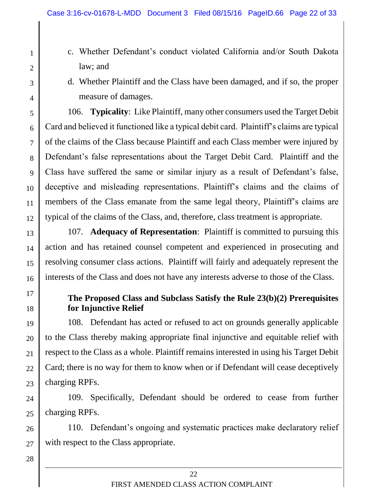- c. Whether Defendant's conduct violated California and/or South Dakota law; and
- d. Whether Plaintiff and the Class have been damaged, and if so, the proper measure of damages.

5 6 7 8 9 10 11 12 106. **Typicality**: Like Plaintiff, many other consumers used the Target Debit Card and believed it functioned like a typical debit card. Plaintiff's claims are typical of the claims of the Class because Plaintiff and each Class member were injured by Defendant's false representations about the Target Debit Card. Plaintiff and the Class have suffered the same or similar injury as a result of Defendant's false, deceptive and misleading representations. Plaintiff's claims and the claims of members of the Class emanate from the same legal theory, Plaintiff's claims are typical of the claims of the Class, and, therefore, class treatment is appropriate.

13 14 15 16 107. **Adequacy of Representation**: Plaintiff is committed to pursuing this action and has retained counsel competent and experienced in prosecuting and resolving consumer class actions. Plaintiff will fairly and adequately represent the interests of the Class and does not have any interests adverse to those of the Class.

17

18

28

1

2

3

4

## **The Proposed Class and Subclass Satisfy the Rule 23(b)(2) Prerequisites for Injunctive Relief**

19 20 21 22 23 108. Defendant has acted or refused to act on grounds generally applicable to the Class thereby making appropriate final injunctive and equitable relief with respect to the Class as a whole. Plaintiff remains interested in using his Target Debit Card; there is no way for them to know when or if Defendant will cease deceptively charging RPFs.

24 25 109. Specifically, Defendant should be ordered to cease from further charging RPFs.

26 27 110. Defendant's ongoing and systematic practices make declaratory relief with respect to the Class appropriate.

> 22 FIRST AMENDED CLASS ACTION COMPLAINT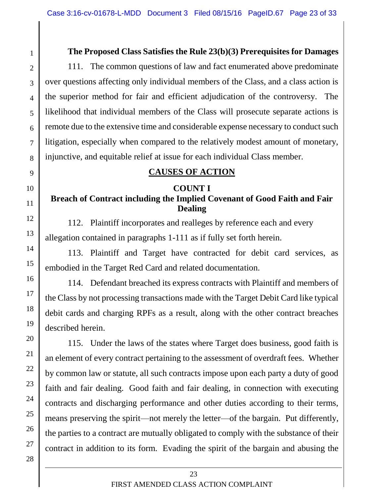### **The Proposed Class Satisfies the Rule 23(b)(3) Prerequisites for Damages**

111. The common questions of law and fact enumerated above predominate over questions affecting only individual members of the Class, and a class action is the superior method for fair and efficient adjudication of the controversy. The likelihood that individual members of the Class will prosecute separate actions is remote due to the extensive time and considerable expense necessary to conduct such litigation, especially when compared to the relatively modest amount of monetary, injunctive, and equitable relief at issue for each individual Class member.

### **CAUSES OF ACTION**

#### **COUNT I**

# **Breach of Contract including the Implied Covenant of Good Faith and Fair Dealing**

112. Plaintiff incorporates and realleges by reference each and every allegation contained in paragraphs 1-111 as if fully set forth herein.

113. Plaintiff and Target have contracted for debit card services, as embodied in the Target Red Card and related documentation.

114. Defendant breached its express contracts with Plaintiff and members of the Class by not processing transactions made with the Target Debit Card like typical debit cards and charging RPFs as a result, along with the other contract breaches described herein.

115. Under the laws of the states where Target does business, good faith is an element of every contract pertaining to the assessment of overdraft fees. Whether by common law or statute, all such contracts impose upon each party a duty of good faith and fair dealing. Good faith and fair dealing, in connection with executing contracts and discharging performance and other duties according to their terms, means preserving the spirit—not merely the letter—of the bargain. Put differently, the parties to a contract are mutually obligated to comply with the substance of their contract in addition to its form. Evading the spirit of the bargain and abusing the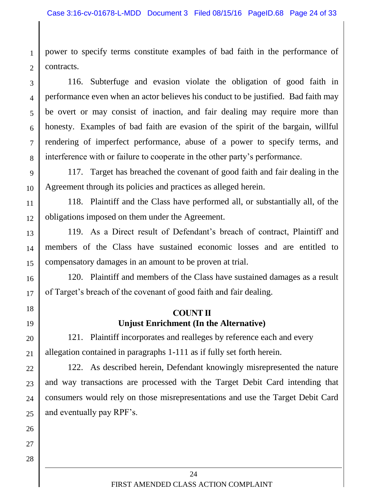1  $\overline{2}$ power to specify terms constitute examples of bad faith in the performance of contracts.

3 4 5 6 8 116. Subterfuge and evasion violate the obligation of good faith in performance even when an actor believes his conduct to be justified. Bad faith may be overt or may consist of inaction, and fair dealing may require more than honesty. Examples of bad faith are evasion of the spirit of the bargain, willful rendering of imperfect performance, abuse of a power to specify terms, and interference with or failure to cooperate in the other party's performance.

9 10 117. Target has breached the covenant of good faith and fair dealing in the Agreement through its policies and practices as alleged herein.

11 12 118. Plaintiff and the Class have performed all, or substantially all, of the obligations imposed on them under the Agreement.

13 14 15 119. As a Direct result of Defendant's breach of contract, Plaintiff and members of the Class have sustained economic losses and are entitled to compensatory damages in an amount to be proven at trial.

120. Plaintiff and members of the Class have sustained damages as a result of Target's breach of the covenant of good faith and fair dealing.

#### **COUNT II Unjust Enrichment (In the Alternative)**

20 21 121. Plaintiff incorporates and realleges by reference each and every allegation contained in paragraphs 1-111 as if fully set forth herein.

22 23 24 25 122. As described herein, Defendant knowingly misrepresented the nature and way transactions are processed with the Target Debit Card intending that consumers would rely on those misrepresentations and use the Target Debit Card and eventually pay RPF's.

26

7

16

17

18

19

24 FIRST AMENDED CLASS ACTION COMPLAINT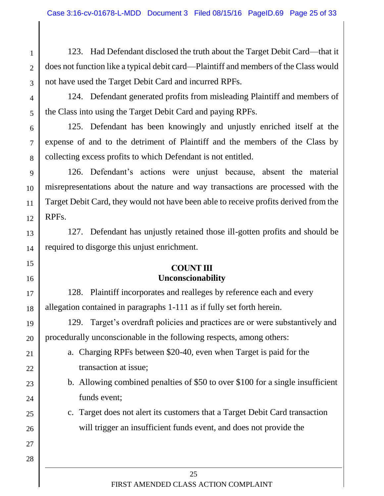123. Had Defendant disclosed the truth about the Target Debit Card—that it does not function like a typical debit card—Plaintiff and members of the Class would not have used the Target Debit Card and incurred RPFs.

1

 $\overline{2}$ 

3

4

5

15

16

21

22

23

24

25

26

27

28

124. Defendant generated profits from misleading Plaintiff and members of the Class into using the Target Debit Card and paying RPFs.

6 7 8 125. Defendant has been knowingly and unjustly enriched itself at the expense of and to the detriment of Plaintiff and the members of the Class by collecting excess profits to which Defendant is not entitled.

9 10 11 12 126. Defendant's actions were unjust because, absent the material misrepresentations about the nature and way transactions are processed with the Target Debit Card, they would not have been able to receive profits derived from the RPFs.

13 14 127. Defendant has unjustly retained those ill-gotten profits and should be required to disgorge this unjust enrichment.

### **COUNT III Unconscionability**

17 18 128. Plaintiff incorporates and realleges by reference each and every allegation contained in paragraphs 1-111 as if fully set forth herein.

19 20 129. Target's overdraft policies and practices are or were substantively and procedurally unconscionable in the following respects, among others:

- a. Charging RPFs between \$20-40, even when Target is paid for the transaction at issue;
- b. Allowing combined penalties of \$50 to over \$100 for a single insufficient funds event;
	- c. Target does not alert its customers that a Target Debit Card transaction will trigger an insufficient funds event, and does not provide the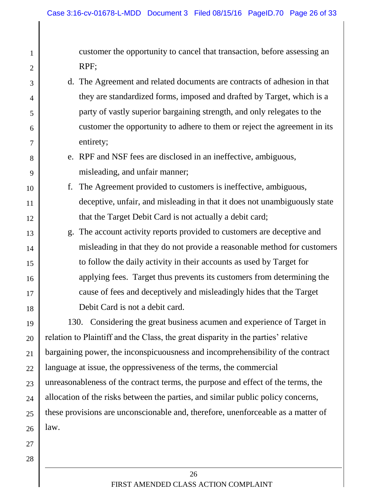customer the opportunity to cancel that transaction, before assessing an RPF;

- d. The Agreement and related documents are contracts of adhesion in that they are standardized forms, imposed and drafted by Target, which is a party of vastly superior bargaining strength, and only relegates to the customer the opportunity to adhere to them or reject the agreement in its entirety;
	- e. RPF and NSF fees are disclosed in an ineffective, ambiguous, misleading, and unfair manner;
- f. The Agreement provided to customers is ineffective, ambiguous, deceptive, unfair, and misleading in that it does not unambiguously state that the Target Debit Card is not actually a debit card;
	- g. The account activity reports provided to customers are deceptive and misleading in that they do not provide a reasonable method for customers to follow the daily activity in their accounts as used by Target for applying fees. Target thus prevents its customers from determining the cause of fees and deceptively and misleadingly hides that the Target Debit Card is not a debit card.

19 20 21 22 23 24 25 26 130. Considering the great business acumen and experience of Target in relation to Plaintiff and the Class, the great disparity in the parties' relative bargaining power, the inconspicuousness and incomprehensibility of the contract language at issue, the oppressiveness of the terms, the commercial unreasonableness of the contract terms, the purpose and effect of the terms, the allocation of the risks between the parties, and similar public policy concerns, these provisions are unconscionable and, therefore, unenforceable as a matter of law.

27 28

1

2

3

4

5

6

7

8

9

10

11

12

13

14

15

16

17

18

26 FIRST AMENDED CLASS ACTION COMPLAINT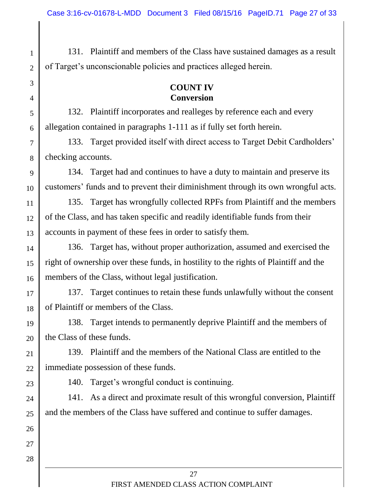131. Plaintiff and members of the Class have sustained damages as a result of Target's unconscionable policies and practices alleged herein.

## **COUNT IV Conversion**

132. Plaintiff incorporates and realleges by reference each and every allegation contained in paragraphs 1-111 as if fully set forth herein.

133. Target provided itself with direct access to Target Debit Cardholders' checking accounts.

9 10 134. Target had and continues to have a duty to maintain and preserve its customers' funds and to prevent their diminishment through its own wrongful acts.

11 12 13 135. Target has wrongfully collected RPFs from Plaintiff and the members of the Class, and has taken specific and readily identifiable funds from their accounts in payment of these fees in order to satisfy them.

14 15 16 136. Target has, without proper authorization, assumed and exercised the right of ownership over these funds, in hostility to the rights of Plaintiff and the members of the Class, without legal justification.

17 18 137. Target continues to retain these funds unlawfully without the consent of Plaintiff or members of the Class.

19 20 138. Target intends to permanently deprive Plaintiff and the members of the Class of these funds.

21 22 139. Plaintiff and the members of the National Class are entitled to the immediate possession of these funds.

23

26

27

28

1

2

3

4

5

6

7

8

140. Target's wrongful conduct is continuing.

24 25 141. As a direct and proximate result of this wrongful conversion, Plaintiff and the members of the Class have suffered and continue to suffer damages.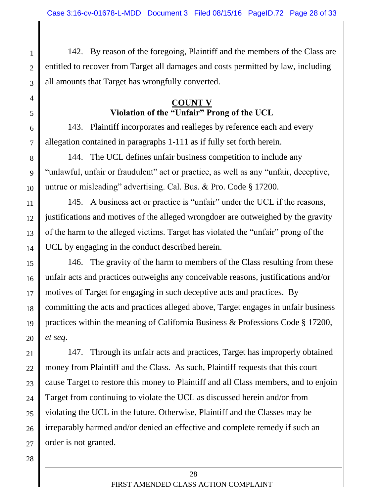142. By reason of the foregoing, Plaintiff and the members of the Class are entitled to recover from Target all damages and costs permitted by law, including all amounts that Target has wrongfully converted.

### **COUNT V Violation of the "Unfair" Prong of the UCL**

143. Plaintiff incorporates and realleges by reference each and every allegation contained in paragraphs 1-111 as if fully set forth herein.

8 9 10 144. The UCL defines unfair business competition to include any "unlawful, unfair or fraudulent" act or practice, as well as any "unfair, deceptive, untrue or misleading" advertising. Cal. Bus. & Pro. Code § 17200.

11 12 13 14 145. A business act or practice is "unfair" under the UCL if the reasons, justifications and motives of the alleged wrongdoer are outweighed by the gravity of the harm to the alleged victims. Target has violated the "unfair" prong of the UCL by engaging in the conduct described herein.

15 16 17 18 19 20 146. The gravity of the harm to members of the Class resulting from these unfair acts and practices outweighs any conceivable reasons, justifications and/or motives of Target for engaging in such deceptive acts and practices. By committing the acts and practices alleged above, Target engages in unfair business practices within the meaning of California Business & Professions Code § 17200, *et seq*.

21 22 23 24 25 26 27 147. Through its unfair acts and practices, Target has improperly obtained money from Plaintiff and the Class. As such, Plaintiff requests that this court cause Target to restore this money to Plaintiff and all Class members, and to enjoin Target from continuing to violate the UCL as discussed herein and/or from violating the UCL in the future. Otherwise, Plaintiff and the Classes may be irreparably harmed and/or denied an effective and complete remedy if such an order is not granted.

1

2

3

4

5

6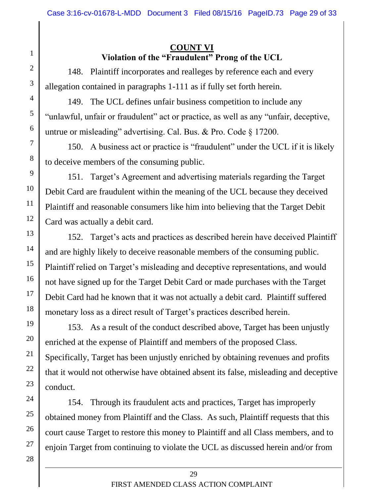## **COUNT VI Violation of the "Fraudulent" Prong of the UCL**

148. Plaintiff incorporates and realleges by reference each and every allegation contained in paragraphs 1-111 as if fully set forth herein.

149. The UCL defines unfair business competition to include any "unlawful, unfair or fraudulent" act or practice, as well as any "unfair, deceptive, untrue or misleading" advertising. Cal. Bus. & Pro. Code § 17200.

150. A business act or practice is "fraudulent" under the UCL if it is likely to deceive members of the consuming public.

151. Target's Agreement and advertising materials regarding the Target Debit Card are fraudulent within the meaning of the UCL because they deceived Plaintiff and reasonable consumers like him into believing that the Target Debit Card was actually a debit card.

152. Target's acts and practices as described herein have deceived Plaintiff and are highly likely to deceive reasonable members of the consuming public. Plaintiff relied on Target's misleading and deceptive representations, and would not have signed up for the Target Debit Card or made purchases with the Target Debit Card had he known that it was not actually a debit card. Plaintiff suffered monetary loss as a direct result of Target's practices described herein.

153. As a result of the conduct described above, Target has been unjustly enriched at the expense of Plaintiff and members of the proposed Class. Specifically, Target has been unjustly enriched by obtaining revenues and profits that it would not otherwise have obtained absent its false, misleading and deceptive conduct.

154. Through its fraudulent acts and practices, Target has improperly obtained money from Plaintiff and the Class. As such, Plaintiff requests that this court cause Target to restore this money to Plaintiff and all Class members, and to enjoin Target from continuing to violate the UCL as discussed herein and/or from

1

2

3

4

5

6

7

8

9

10

11

12

13

14

15

16

17

18

19

20

21

22

23

24

25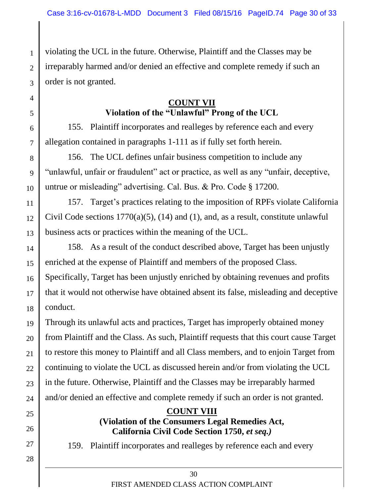violating the UCL in the future. Otherwise, Plaintiff and the Classes may be irreparably harmed and/or denied an effective and complete remedy if such an order is not granted.

## **COUNT VII Violation of the "Unlawful" Prong of the UCL**

155. Plaintiff incorporates and realleges by reference each and every allegation contained in paragraphs 1-111 as if fully set forth herein.

8 9 10 156. The UCL defines unfair business competition to include any "unlawful, unfair or fraudulent" act or practice, as well as any "unfair, deceptive, untrue or misleading" advertising. Cal. Bus. & Pro. Code § 17200.

11 12 13 157. Target's practices relating to the imposition of RPFs violate California Civil Code sections  $1770(a)(5)$ ,  $(14)$  and  $(1)$ , and, as a result, constitute unlawful business acts or practices within the meaning of the UCL.

14 15 16 17 18 158. As a result of the conduct described above, Target has been unjustly enriched at the expense of Plaintiff and members of the proposed Class. Specifically, Target has been unjustly enriched by obtaining revenues and profits that it would not otherwise have obtained absent its false, misleading and deceptive conduct.

19 20 21 22 23 24 Through its unlawful acts and practices, Target has improperly obtained money from Plaintiff and the Class. As such, Plaintiff requests that this court cause Target to restore this money to Plaintiff and all Class members, and to enjoin Target from continuing to violate the UCL as discussed herein and/or from violating the UCL in the future. Otherwise, Plaintiff and the Classes may be irreparably harmed and/or denied an effective and complete remedy if such an order is not granted.

25

1

 $\overline{2}$ 

3

4

5

6

7

26

27

28

### **COUNT VIII**

## **(Violation of the Consumers Legal Remedies Act, California Civil Code Section 1750,** *et seq.)*

159. Plaintiff incorporates and realleges by reference each and every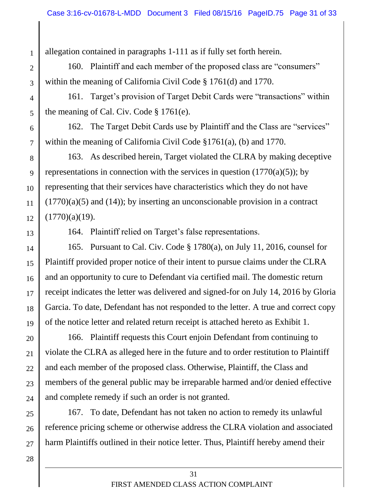allegation contained in paragraphs 1-111 as if fully set forth herein.

160. Plaintiff and each member of the proposed class are "consumers" within the meaning of California Civil Code § 1761(d) and 1770.

161. Target's provision of Target Debit Cards were "transactions" within the meaning of Cal. Civ. Code § 1761(e).

162. The Target Debit Cards use by Plaintiff and the Class are "services" within the meaning of California Civil Code §1761(a), (b) and 1770.

8 9 10 11 12 163. As described herein, Target violated the CLRA by making deceptive representations in connection with the services in question  $(1770(a)(5))$ ; by representing that their services have characteristics which they do not have  $(1770)(a)(5)$  and  $(14)$ ; by inserting an unconscionable provision in a contract  $(1770)(a)(19)$ .

13

1

2

3

4

5

6

7

164. Plaintiff relied on Target's false representations.

14 15 16 17 18 19 165. Pursuant to Cal. Civ. Code § 1780(a), on July 11, 2016, counsel for Plaintiff provided proper notice of their intent to pursue claims under the CLRA and an opportunity to cure to Defendant via certified mail. The domestic return receipt indicates the letter was delivered and signed-for on July 14, 2016 by Gloria Garcia. To date, Defendant has not responded to the letter. A true and correct copy of the notice letter and related return receipt is attached hereto as Exhibit 1.

20 21 22 23 24 166. Plaintiff requests this Court enjoin Defendant from continuing to violate the CLRA as alleged here in the future and to order restitution to Plaintiff and each member of the proposed class. Otherwise, Plaintiff, the Class and members of the general public may be irreparable harmed and/or denied effective and complete remedy if such an order is not granted.

25 26 27 167. To date, Defendant has not taken no action to remedy its unlawful reference pricing scheme or otherwise address the CLRA violation and associated harm Plaintiffs outlined in their notice letter. Thus, Plaintiff hereby amend their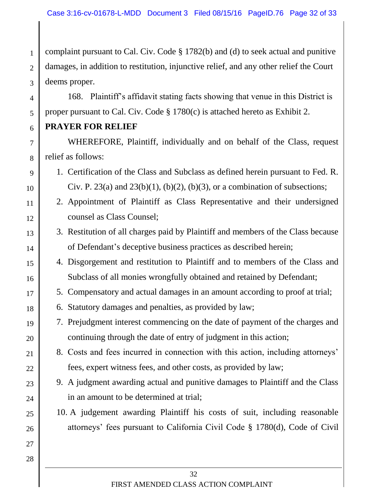1  $\mathcal{D}_{\mathcal{L}}$ 3 complaint pursuant to Cal. Civ. Code § 1782(b) and (d) to seek actual and punitive damages, in addition to restitution, injunctive relief, and any other relief the Court deems proper.

168. Plaintiff's affidavit stating facts showing that venue in this District is proper pursuant to Cal. Civ. Code § 1780(c) is attached hereto as Exhibit 2.

## **PRAYER FOR RELIEF**

4

5

6

7

8

9

10

11

12

13

14

17

18

19

20

21

22

23

24

25

26

27

28

WHEREFORE, Plaintiff, individually and on behalf of the Class, request relief as follows:

- 1. Certification of the Class and Subclass as defined herein pursuant to Fed. R. Civ. P. 23(a) and 23(b)(1), (b)(2), (b)(3), or a combination of subsections;
- 2. Appointment of Plaintiff as Class Representative and their undersigned counsel as Class Counsel;
- 3. Restitution of all charges paid by Plaintiff and members of the Class because of Defendant's deceptive business practices as described herein;
- 15 16 4. Disgorgement and restitution to Plaintiff and to members of the Class and Subclass of all monies wrongfully obtained and retained by Defendant;
	- 5. Compensatory and actual damages in an amount according to proof at trial;
	- 6. Statutory damages and penalties, as provided by law;
	- 7. Prejudgment interest commencing on the date of payment of the charges and continuing through the date of entry of judgment in this action;
		- 8. Costs and fees incurred in connection with this action, including attorneys' fees, expert witness fees, and other costs, as provided by law;
		- 9. A judgment awarding actual and punitive damages to Plaintiff and the Class in an amount to be determined at trial;
		- 10. A judgement awarding Plaintiff his costs of suit, including reasonable attorneys' fees pursuant to California Civil Code § 1780(d), Code of Civil
			- 32 FIRST AMENDED CLASS ACTION COMPLAINT